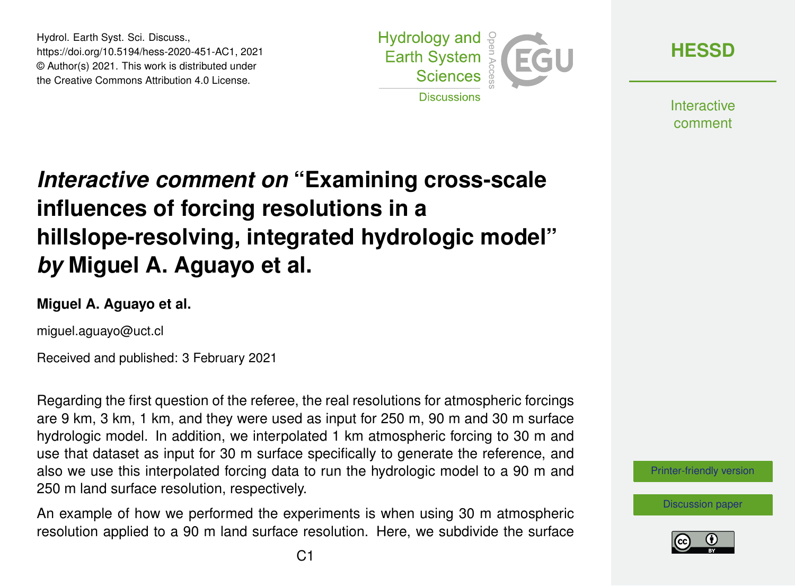Hydrol. Earth Syst. Sci. Discuss., https://doi.org/10.5194/hess-2020-451-AC1, 2021 © Author(s) 2021. This work is distributed under the Creative Commons Attribution 4.0 License.



**[HESSD](https://hess.copernicus.org/preprints/)**

**Interactive** comment

## *Interactive comment on* **"Examining cross-scale influences of forcing resolutions in a hillslope-resolving, integrated hydrologic model"** *by* **Miguel A. Aguayo et al.**

## **Miguel A. Aguayo et al.**

miguel.aguayo@uct.cl

Received and published: 3 February 2021

Regarding the first question of the referee, the real resolutions for atmospheric forcings are 9 km, 3 km, 1 km, and they were used as input for 250 m, 90 m and 30 m surface hydrologic model. In addition, we interpolated 1 km atmospheric forcing to 30 m and use that dataset as input for 30 m surface specifically to generate the reference, and also we use this interpolated forcing data to run the hydrologic model to a 90 m and 250 m land surface resolution, respectively.

An example of how we performed the experiments is when using 30 m atmospheric resolution applied to a 90 m land surface resolution. Here, we subdivide the surface



[Discussion paper](https://hess.copernicus.org/preprints/hess-2020-451)

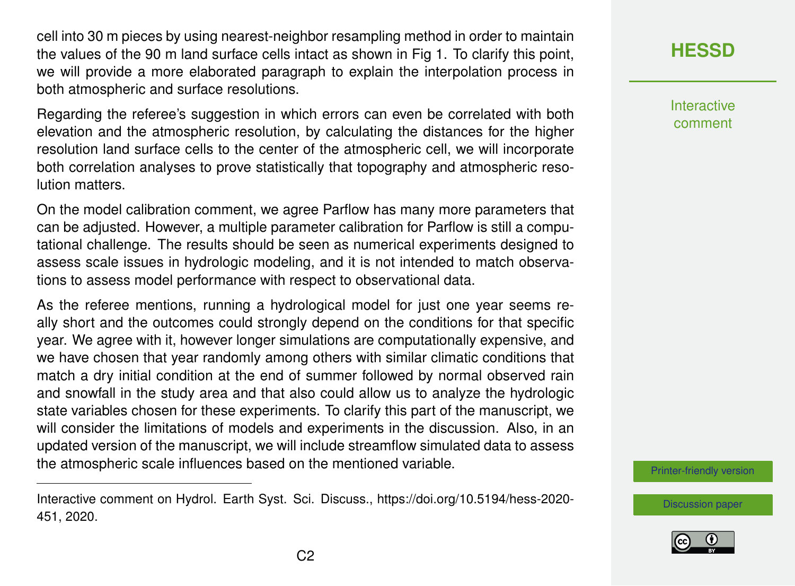cell into 30 m pieces by using nearest-neighbor resampling method in order to maintain the values of the 90 m land surface cells intact as shown in Fig 1. To clarify this point, we will provide a more elaborated paragraph to explain the interpolation process in both atmospheric and surface resolutions.

Regarding the referee's suggestion in which errors can even be correlated with both elevation and the atmospheric resolution, by calculating the distances for the higher resolution land surface cells to the center of the atmospheric cell, we will incorporate both correlation analyses to prove statistically that topography and atmospheric resolution matters.

On the model calibration comment, we agree Parflow has many more parameters that can be adjusted. However, a multiple parameter calibration for Parflow is still a computational challenge. The results should be seen as numerical experiments designed to assess scale issues in hydrologic modeling, and it is not intended to match observations to assess model performance with respect to observational data.

As the referee mentions, running a hydrological model for just one year seems really short and the outcomes could strongly depend on the conditions for that specific year. We agree with it, however longer simulations are computationally expensive, and we have chosen that year randomly among others with similar climatic conditions that match a dry initial condition at the end of summer followed by normal observed rain and snowfall in the study area and that also could allow us to analyze the hydrologic state variables chosen for these experiments. To clarify this part of the manuscript, we will consider the limitations of models and experiments in the discussion. Also, in an updated version of the manuscript, we will include streamflow simulated data to assess the atmospheric scale influences based on the mentioned variable.

**[HESSD](https://hess.copernicus.org/preprints/)**

**Interactive** comment

[Printer-friendly version](https://hess.copernicus.org/preprints/hess-2020-451/hess-2020-451-AC1-print.pdf)

[Discussion paper](https://hess.copernicus.org/preprints/hess-2020-451)



Interactive comment on Hydrol. Earth Syst. Sci. Discuss., https://doi.org/10.5194/hess-2020- 451, 2020.